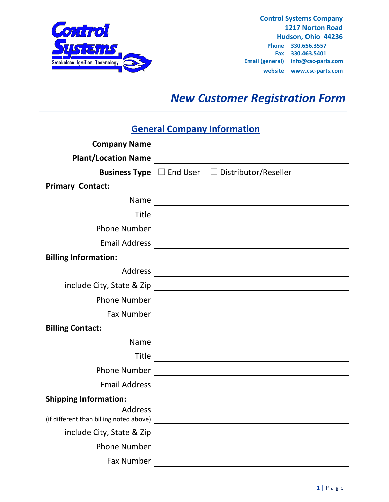

**Control Systems Company 1217 Norton Road Hudson, Ohio 44236 Phone 330.656.3557 Fax 330.463.5401 Email (general) [info@csc-parts.com](mailto:info@csc-parts.com) website www.csc-parts.com**

# *New Customer Registration Form*

## **General Company Information**

| <b>Plant/Location Name</b>                     |                                                                                                                      |  |
|------------------------------------------------|----------------------------------------------------------------------------------------------------------------------|--|
|                                                | <b>Business Type</b> $\Box$ End User $\Box$ Distributor/Reseller                                                     |  |
| <b>Primary Contact:</b>                        |                                                                                                                      |  |
| Name                                           |                                                                                                                      |  |
| <b>Title</b>                                   |                                                                                                                      |  |
| <b>Phone Number</b>                            | <u> 1989 - John Stein, Amerikaansk politiker (</u>                                                                   |  |
|                                                |                                                                                                                      |  |
| <b>Billing Information:</b>                    |                                                                                                                      |  |
| <b>Address</b>                                 | <u> 1989 - Johann Stein, fransk politik (</u>                                                                        |  |
|                                                |                                                                                                                      |  |
| <b>Phone Number</b>                            |                                                                                                                      |  |
| <b>Fax Number</b>                              |                                                                                                                      |  |
| <b>Billing Contact:</b>                        |                                                                                                                      |  |
| Name                                           |                                                                                                                      |  |
| <b>Title</b>                                   |                                                                                                                      |  |
| <b>Phone Number</b>                            | <u> 1989 - Johann Stein, fransk politik (</u>                                                                        |  |
| <b>Email Address</b>                           |                                                                                                                      |  |
| <b>Shipping Information:</b><br><b>Address</b> |                                                                                                                      |  |
| include City, State & Zip                      | <u> 1970 - Andrea Maria Alemania, prima a prima a prima a prima a prima a prima a prima a prima a prima a prima </u> |  |
| <b>Phone Number</b>                            |                                                                                                                      |  |
| <b>Fax Number</b>                              |                                                                                                                      |  |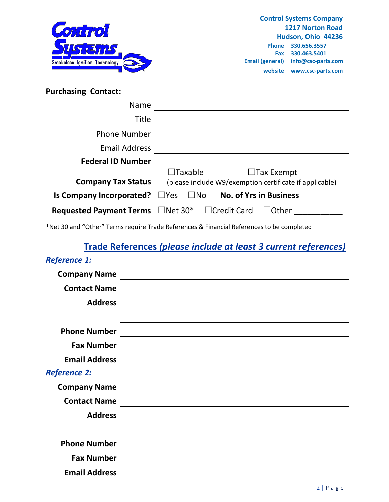

| <b>Purchasing Contact:</b>             |                                                                |
|----------------------------------------|----------------------------------------------------------------|
| <b>Name</b>                            |                                                                |
| <b>Title</b>                           |                                                                |
| <b>Phone Number</b>                    |                                                                |
| <b>Email Address</b>                   |                                                                |
| <b>Federal ID Number</b>               |                                                                |
|                                        | $\Box$ Taxable<br>$\Box$ Tax Exempt                            |
| <b>Company Tax Status</b>              | (please include W9/exemption certificate if applicable)        |
| Is Company Incorporated?               | <b>No. of Yrs in Business</b><br>$\square$ Yes<br>$\square$ No |
| Requested Payment Terms $\Box$ Net 30* | $\Box$ Credit Card<br>$\Box$ Other                             |

\*Net 30 and "Other" Terms require Trade References & Financial References to be completed

## **Trade References** *(please include at least 3 current references)*

#### *Reference 1:*

| <b>Company Name</b>  |                                                                                                                        |
|----------------------|------------------------------------------------------------------------------------------------------------------------|
| <b>Contact Name</b>  |                                                                                                                        |
| <b>Address</b>       |                                                                                                                        |
| <b>Phone Number</b>  |                                                                                                                        |
| <b>Fax Number</b>    |                                                                                                                        |
| <b>Email Address</b> |                                                                                                                        |
| <b>Reference 2:</b>  |                                                                                                                        |
| <b>Company Name</b>  |                                                                                                                        |
| <b>Contact Name</b>  | <u> 1980 - Johann Stoff, deutscher Stoffen und der Stoffen und der Stoffen und der Stoffen und der Stoffen und der</u> |
| <b>Address</b>       |                                                                                                                        |
|                      |                                                                                                                        |
| <b>Phone Number</b>  |                                                                                                                        |
| <b>Fax Number</b>    | <u> 1980 - John Stein, marking and de broad and de broad and de broad and de broad and de broad and de broad and</u>   |
| <b>Email Address</b> |                                                                                                                        |
|                      |                                                                                                                        |